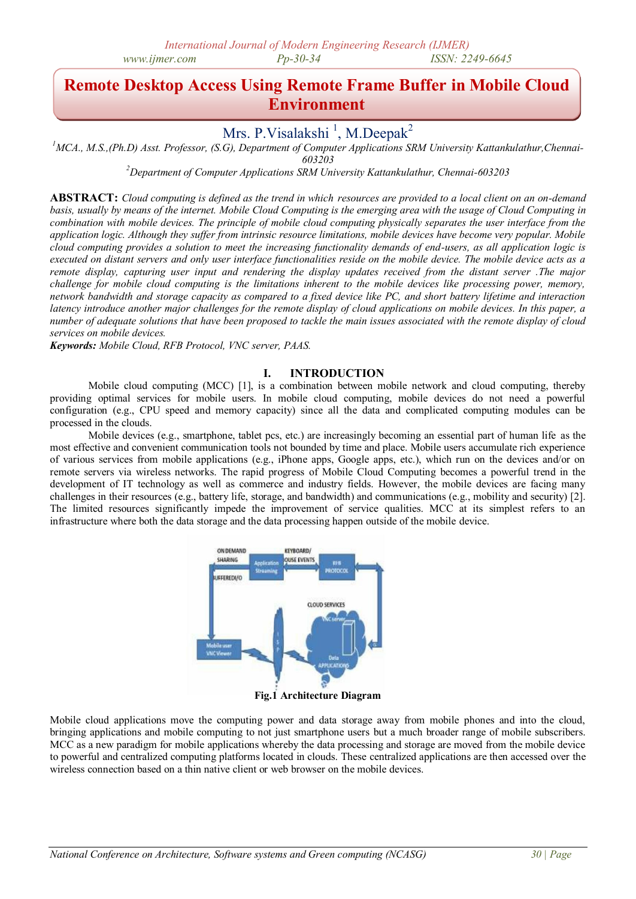# **Remote Desktop Access Using Remote Frame Buffer in Mobile Cloud Environment**

## Mrs. P.Visalakshi<sup>1</sup>, M.Deepak<sup>2</sup>

*<sup>1</sup>MCA., M.S.,(Ph.D) Asst. Professor, (S.G), Department of Computer Applications SRM University Kattankulathur,Chennai-*

*603203*

*<sup>2</sup>Department of Computer Applications SRM University Kattankulathur, Chennai-603203*

**ABSTRACT:** *Cloud computing is defined as the trend in which resources are provided to a local client on an on-demand basis, usually by means of the internet. Mobile Cloud Computing is the emerging area with the usage of Cloud Computing in combination with mobile devices. The principle of mobile cloud computing physically separates the user interface from the application logic. Although they suffer from intrinsic resource limitations, mobile devices have become very popular. Mobile cloud computing provides a solution to meet the increasing functionality demands of end-users, as all application logic is executed on distant servers and only user interface functionalities reside on the mobile device. The mobile device acts as a remote display, capturing user input and rendering the display updates received from the distant server .The major challenge for mobile cloud computing is the limitations inherent to the mobile devices like processing power, memory, network bandwidth and storage capacity as compared to a fixed device like PC, and short battery lifetime and interaction latency introduce another major challenges for the remote display of cloud applications on mobile devices. In this paper, a number of adequate solutions that have been proposed to tackle the main issues associated with the remote display of cloud services on mobile devices.*

*Keywords: Mobile Cloud, RFB Protocol, VNC server, PAAS.*

## **I. INTRODUCTION**

Mobile cloud computing (MCC) [1], is a combination between mobile network and cloud computing, thereby providing optimal services for mobile users. In mobile cloud computing, mobile devices do not need a powerful configuration (e.g., CPU speed and memory capacity) since all the data and complicated computing modules can be processed in the clouds.

Mobile devices (e.g., smartphone, tablet pcs, etc.) are increasingly becoming an essential part of human life as the most effective and convenient communication tools not bounded by time and place. Mobile users accumulate rich experience of various services from mobile applications (e.g., iPhone apps, Google apps, etc.), which run on the devices and/or on remote servers via wireless networks. The rapid progress of Mobile Cloud Computing becomes a powerful trend in the development of IT technology as well as commerce and industry fields. However, the mobile devices are facing many challenges in their resources (e.g., battery life, storage, and bandwidth) and communications (e.g., mobility and security) [2]. The limited resources significantly impede the improvement of service qualities. MCC at its simplest refers to an infrastructure where both the data storage and the data processing happen outside of the mobile device.



**Fig.1 Architecture Diagram**

Mobile cloud applications move the computing power and data storage away from mobile phones and into the cloud, bringing applications and mobile computing to not just smartphone users but a much broader range of mobile subscribers. MCC as a new paradigm for mobile applications whereby the data processing and storage are moved from the mobile device to powerful and centralized computing platforms located in clouds. These centralized applications are then accessed over the wireless connection based on a thin native client or web browser on the mobile devices.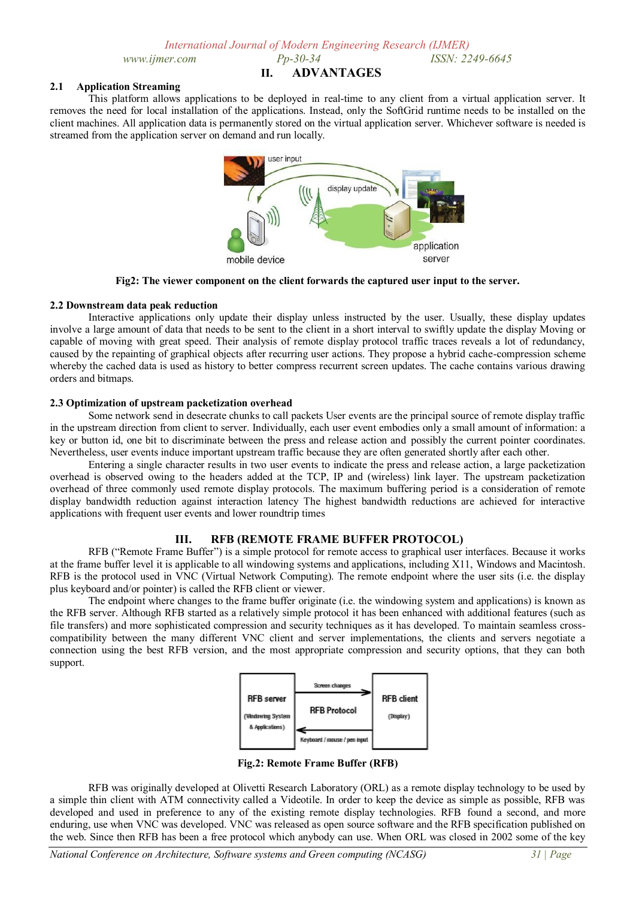#### **2.1 Application Streaming**

This platform allows applications to be deployed in real-time to any client from a virtual application server. It removes the need for local installation of the applications. Instead, only the SoftGrid runtime needs to be installed on the client machines. All application data is permanently stored on the virtual application server. Whichever software is needed is streamed from the application server on demand and run locally.



**Fig2: The viewer component on the client forwards the captured user input to the server.**

#### **2.2 Downstream data peak reduction**

Interactive applications only update their display unless instructed by the user. Usually, these display updates involve a large amount of data that needs to be sent to the client in a short interval to swiftly update the display Moving or capable of moving with great speed. Their analysis of remote display protocol traffic traces reveals a lot of redundancy, caused by the repainting of graphical objects after recurring user actions. They propose a hybrid cache-compression scheme whereby the cached data is used as history to better compress recurrent screen updates. The cache contains various drawing orders and bitmaps.

#### **2.3 Optimization of upstream packetization overhead**

Some network send in desecrate chunks to call packets User events are the principal source of remote display traffic in the upstream direction from client to server. Individually, each user event embodies only a small amount of information: a key or button id, one bit to discriminate between the press and release action and possibly the current pointer coordinates. Nevertheless, user events induce important upstream traffic because they are often generated shortly after each other.

Entering a single character results in two user events to indicate the press and release action, a large packetization overhead is observed owing to the headers added at the TCP, IP and (wireless) link layer. The upstream packetization overhead of three commonly used remote display protocols. The maximum buffering period is a consideration of remote display bandwidth reduction against interaction latency The highest bandwidth reductions are achieved for interactive applications with frequent user events and lower roundtrip times

## **III. RFB (REMOTE FRAME BUFFER PROTOCOL)**

RFB ("Remote Frame Buffer") is a simple protocol for remote access to graphical user interfaces. Because it works at the frame buffer level it is applicable to all windowing systems and applications, including X11, Windows and Macintosh. RFB is the protocol used in VNC (Virtual Network Computing). The remote endpoint where the user sits (i.e. the display plus keyboard and/or pointer) is called the RFB client or viewer.

The endpoint where changes to the frame buffer originate (i.e. the windowing system and applications) is known as the RFB server. Although RFB started as a relatively simple protocol it has been enhanced with additional features (such as file transfers) and more sophisticated compression and security techniques as it has developed. To maintain seamless crosscompatibility between the many different VNC client and server implementations, the clients and servers negotiate a connection using the best RFB version, and the most appropriate compression and security options, that they can both support.



**Fig.2: Remote Frame Buffer (RFB)**

RFB was originally developed at Olivetti Research Laboratory (ORL) as a remote display technology to be used by a simple thin client with ATM connectivity called a Videotile. In order to keep the device as simple as possible, RFB was developed and used in preference to any of the existing remote display technologies. RFB found a second, and more enduring, use when VNC was developed. VNC was released as open source software and the RFB specification published on the web. Since then RFB has been a free protocol which anybody can use. When ORL was closed in 2002 some of the key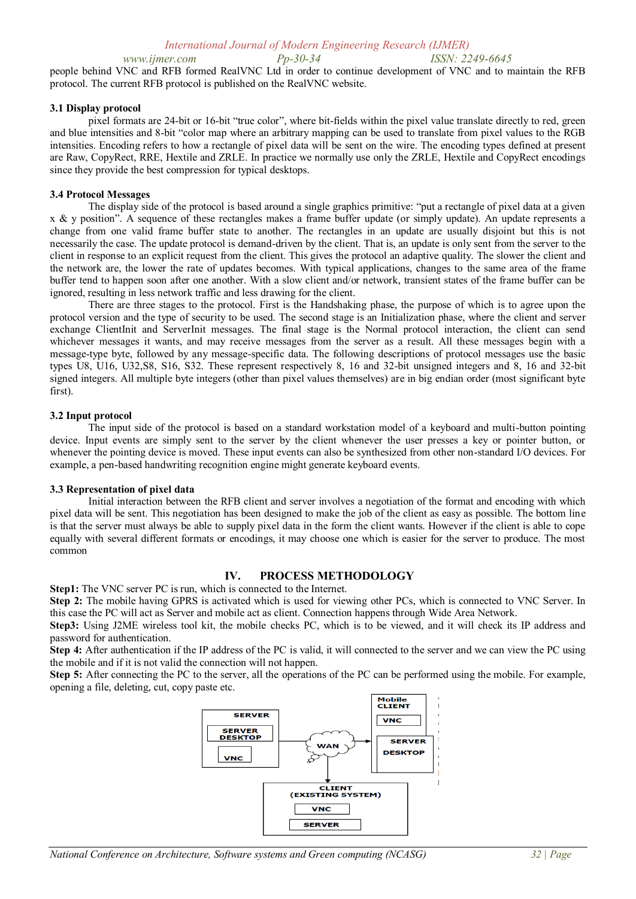*www.ijmer.com Pp-30-34 ISSN: 2249-6645*  people behind VNC and RFB formed RealVNC Ltd in order to continue development of VNC and to maintain the RFB protocol. The current RFB protocol is published on the RealVNC website.

#### **3.1 Display protocol**

pixel formats are 24-bit or 16-bit "true color", where bit-fields within the pixel value translate directly to red, green and blue intensities and 8-bit "color map where an arbitrary mapping can be used to translate from pixel values to the RGB intensities. Encoding refers to how a rectangle of pixel data will be sent on the wire. The encoding types defined at present are Raw, CopyRect, RRE, Hextile and ZRLE. In practice we normally use only the ZRLE, Hextile and CopyRect encodings since they provide the best compression for typical desktops.

#### **3.4 Protocol Messages**

The display side of the protocol is based around a single graphics primitive: "put a rectangle of pixel data at a given x & y position". A sequence of these rectangles makes a frame buffer update (or simply update). An update represents a change from one valid frame buffer state to another. The rectangles in an update are usually disjoint but this is not necessarily the case. The update protocol is demand-driven by the client. That is, an update is only sent from the server to the client in response to an explicit request from the client. This gives the protocol an adaptive quality. The slower the client and the network are, the lower the rate of updates becomes. With typical applications, changes to the same area of the frame buffer tend to happen soon after one another. With a slow client and/or network, transient states of the frame buffer can be ignored, resulting in less network traffic and less drawing for the client.

There are three stages to the protocol. First is the Handshaking phase, the purpose of which is to agree upon the protocol version and the type of security to be used. The second stage is an Initialization phase, where the client and server exchange ClientInit and ServerInit messages. The final stage is the Normal protocol interaction, the client can send whichever messages it wants, and may receive messages from the server as a result. All these messages begin with a message-type byte, followed by any message-specific data. The following descriptions of protocol messages use the basic types U8, U16, U32,S8, S16, S32. These represent respectively 8, 16 and 32-bit unsigned integers and 8, 16 and 32-bit signed integers. All multiple byte integers (other than pixel values themselves) are in big endian order (most significant byte first).

#### **3.2 Input protocol**

The input side of the protocol is based on a standard workstation model of a keyboard and multi-button pointing device. Input events are simply sent to the server by the client whenever the user presses a key or pointer button, or whenever the pointing device is moved. These input events can also be synthesized from other non-standard I/O devices. For example, a pen-based handwriting recognition engine might generate keyboard events.

#### **3.3 Representation of pixel data**

Initial interaction between the RFB client and server involves a negotiation of the format and encoding with which pixel data will be sent. This negotiation has been designed to make the job of the client as easy as possible. The bottom line is that the server must always be able to supply pixel data in the form the client wants. However if the client is able to cope equally with several different formats or encodings, it may choose one which is easier for the server to produce. The most common

#### **IV. PROCESS METHODOLOGY**

**Step1:** The VNC server PC is run, which is connected to the Internet.

**Step 2:** The mobile having GPRS is activated which is used for viewing other PCs, which is connected to VNC Server. In this case the PC will act as Server and mobile act as client. Connection happens through Wide Area Network.

**Step3:** Using J2ME wireless tool kit, the mobile checks PC, which is to be viewed, and it will check its IP address and password for authentication.

**Step 4:** After authentication if the IP address of the PC is valid, it will connected to the server and we can view the PC using the mobile and if it is not valid the connection will not happen.

**Step 5:** After connecting the PC to the server, all the operations of the PC can be performed using the mobile. For example, opening a file, deleting, cut, copy paste etc.

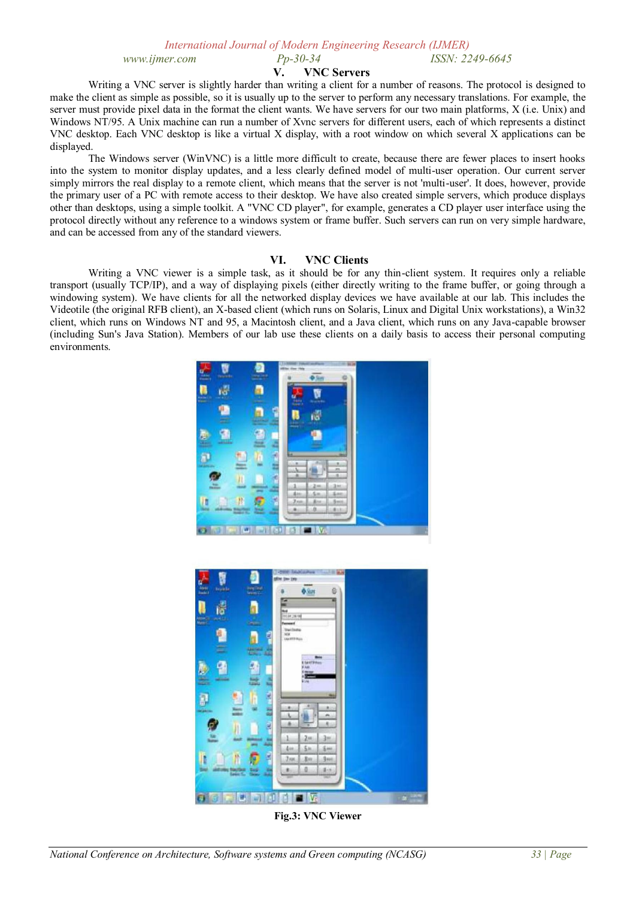## **V. VNC Servers**

Writing a VNC server is slightly harder than writing a client for a number of reasons. The protocol is designed to make the client as simple as possible, so it is usually up to the server to perform any necessary translations. For example, the server must provide pixel data in the format the client wants. We have servers for our two main platforms, X (i.e. Unix) and Windows NT/95. A Unix machine can run a number of Xvnc servers for different users, each of which represents a distinct VNC desktop. Each VNC desktop is like a virtual X display, with a root window on which several X applications can be displayed.

The Windows server (WinVNC) is a little more difficult to create, because there are fewer places to insert hooks into the system to monitor display updates, and a less clearly defined model of multi-user operation. Our current server simply mirrors the real display to a remote client, which means that the server is not 'multi-user'. It does, however, provide the primary user of a PC with remote access to their desktop. We have also created simple servers, which produce displays other than desktops, using a simple toolkit. A "VNC CD player", for example, generates a CD player user interface using the protocol directly without any reference to a windows system or frame buffer. Such servers can run on very simple hardware, and can be accessed from any of the standard viewers.

#### **VI. VNC Clients**

Writing a VNC viewer is a simple task, as it should be for any thin-client system. It requires only a reliable transport (usually TCP/IP), and a way of displaying pixels (either directly writing to the frame buffer, or going through a windowing system). We have clients for all the networked display devices we have available at our lab. This includes the Videotile (the original RFB client), an X-based client (which runs on Solaris, Linux and Digital Unix workstations), a Win32 client, which runs on Windows NT and 95, a Macintosh client, and a Java client, which runs on any Java-capable browser (including Sun's Java Station). Members of our lab use these clients on a daily basis to access their personal computing environments.





**Fig.3: VNC Viewer**